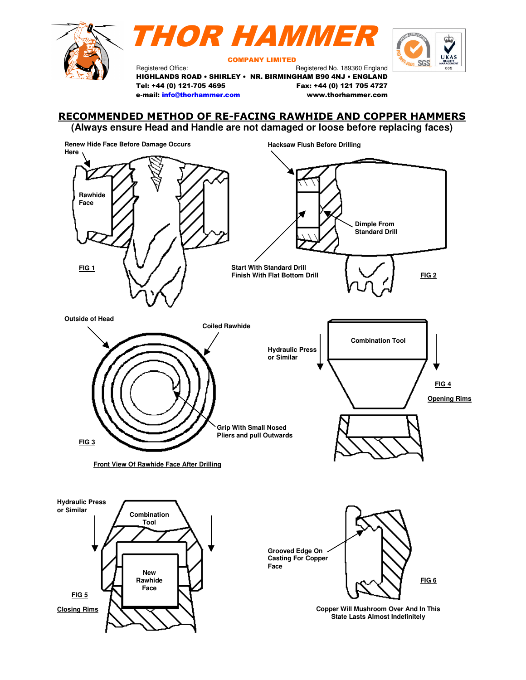





COMPANY LIMITED

Registered Office: Registered No. 189360 England HIGHLANDS ROAD • SHIRLEY • NR. BIRMINGHAM B90 4NJ • ENGLAND Tel: +44 (0) 121-705 4695 Fax: +44 (0) 121 705 4727 e-mail: info@thorhammer.com www.thorhammer.com

# RECOMMENDED METHOD OF RE-FACING RAWHIDE AND COPPER HAMMERS

**(Always ensure Head and Handle are not damaged or loose before replacing faces)**